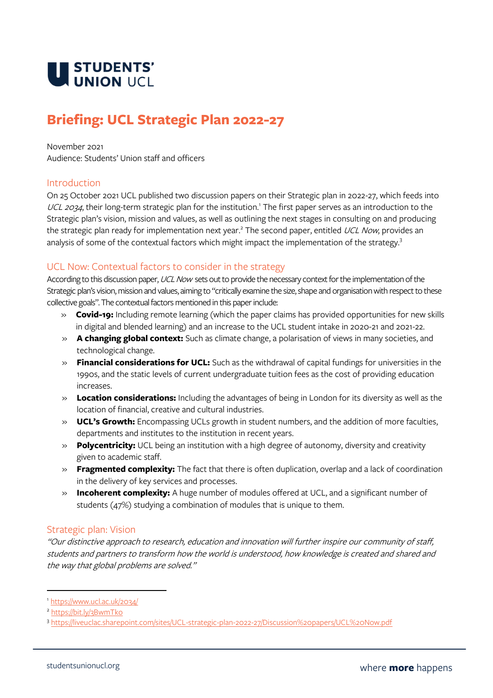

# **Briefing: UCL Strategic Plan 2022-27**

#### November 2021

Audience: Students' Union staff and officers

#### Introduction

On 25 October 2021 UCL published two discussion papers on their Strategic plan in 2022-27, which feeds into UCL 2034, their long-term strategic plan for the institution.<sup>1</sup> The first paper serves as an introduction to the Strategic plan's vision, mission and values, as well as outlining the next stages in consulting on and producing the strategic plan ready for implementation next year.<sup>2</sup> The second paper, entitled *UCL Now*, provides an analysis of some of the contextual factors which might impact the implementation of the strategy.<sup>3</sup>

#### UCL Now: Contextual factors to consider in the strategy

According to this discussion paper, UCL Now sets out to provide the necessary context for the implementation of the Strategic plan's vision, mission and values, aiming to "critically examine the size, shape and organisation with respect to these collective goals". The contextual factors mentioned in this paper include:

- » **Covid-19:** Including remote learning (which the paper claims has provided opportunities for new skills in digital and blended learning) and an increase to the UCL student intake in 2020-21 and 2021-22.
- » **A changing global context:** Such as climate change, a polarisation of views in many societies, and technological change.
- » **Financial considerations for UCL:** Such as the withdrawal of capital fundings for universities in the 1990s, and the static levels of current undergraduate tuition fees as the cost of providing education increases.
- » **Location considerations:** Including the advantages of being in London for its diversity as well as the location of financial, creative and cultural industries.
- » **UCL's Growth:** Encompassing UCLs growth in student numbers, and the addition of more faculties, departments and institutes to the institution in recent years.
- » **Polycentricity:** UCL being an institution with a high degree of autonomy, diversity and creativity given to academic staff.
- » **Fragmented complexity:** The fact that there is often duplication, overlap and a lack of coordination in the delivery of key services and processes.
- » **Incoherent complexity:** A huge number of modules offered at UCL, and a significant number of students (47%) studying a combination of modules that is unique to them.

## Strategic plan: Vision

"Our distinctive approach to research, education and innovation will further inspire our community of staff, students and partners to transform how the world is understood, how knowledge is created and shared and the way that global problems are solved."

<sup>1</sup> <https://www.ucl.ac.uk/2034/>

<sup>2</sup> <https://bit.ly/3BwmTko>

<sup>3</sup> <https://liveuclac.sharepoint.com/sites/UCL-strategic-plan-2022-27/Discussion%20papers/UCL%20Now.pdf>